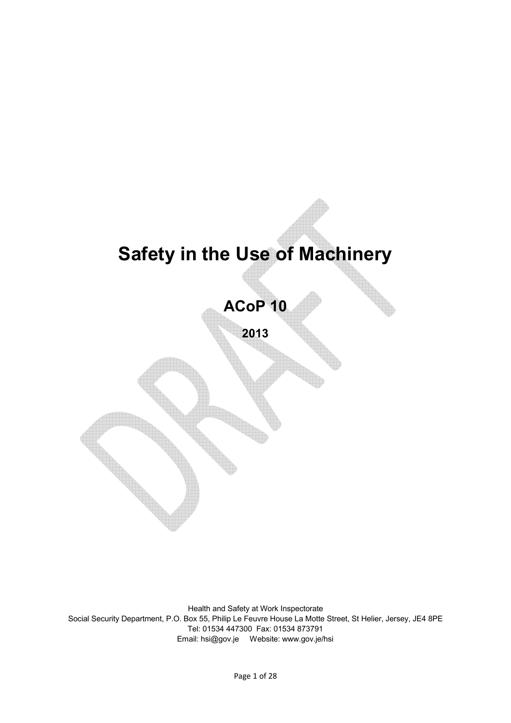# **Safety in the Use of Machinery**

**ACoP 10**

**2013**

Health and Safety at Work Inspectorate Social Security Department, P.O. Box 55, Philip Le Feuvre House La Motte Street, St Helier, Jersey, JE4 8PE Tel: 01534 447300 Fax: 01534 873791 Email: hsi@gov.je Website: www.gov.je/hsi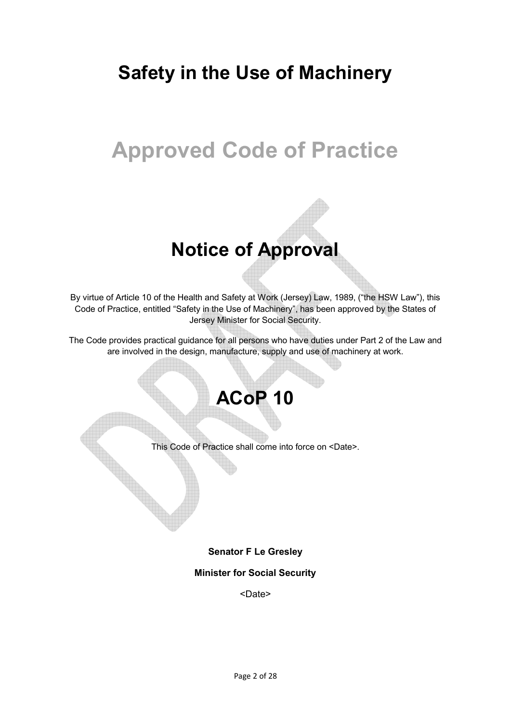# **Safety in the Use of Machinery**

# **Approved Code of Practice**

# **Notice of Approval**

By virtue of Article 10 of the Health and Safety at Work (Jersey) Law, 1989, ("the HSW Law"), this Code of Practice, entitled "Safety in the Use of Machinery", has been approved by the States of Jersey Minister for Social Security.

The Code provides practical guidance for all persons who have duties under Part 2 of the Law and are involved in the design, manufacture, supply and use of machinery at work.

# **ACoP 10**

This Code of Practice shall come into force on <Date>.

### **Senator F Le Gresley**

#### **Minister for Social Security**

<Date>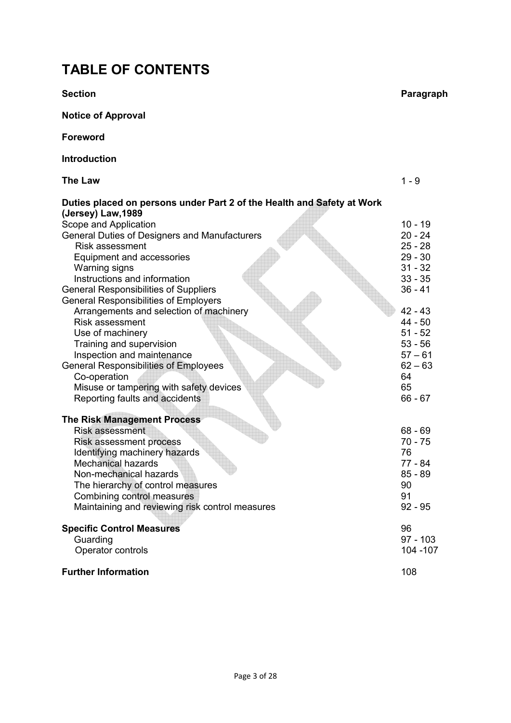## **TABLE OF CONTENTS**

**Notice of Approval Foreword Introduction The Law** 1 - 9 **Duties placed on persons under Part 2 of the Health and Safety at Work (Jersey) Law,1989** Scope and Application 10 - 19 General Duties of Designers and Manufacturers 20 - 24 Risk assessment 25 - 28 Equipment and accessories 29 - 30 Warning signs 31 - 32<br>
Instructions and information 33 - 35 Instructions and information General Responsibilities of Suppliers 36 - 41 General Responsibilities of Employers Arrangements and selection of machinery 42 - 43<br>Risk assessment 44 - 50 Risk assessment 44 - 50<br>Use of machinery 51 - 52 Use of machinery 51 - 52<br>
Training and supervision 53 - 56 Training and supervision Inspection and maintenance 57 – 61<br>
eneral Responsibilities of Employees 62 – 63 General Responsibilities of Employees Co-operation 64 Misuse or tampering with safety devices **65** and the same of  $\overline{65}$ Reporting faults and accidents 66 - 67 **The Risk Management Process** Risk assessment 68 - 69 Risk assessment process 70 - 75 Identifying machinery hazards 76 Mechanical hazards 77 - 84<br>
Non-mechanical hazards 85 - 89 Non-mechanical hazards The hierarchy of control measures 90 Combining control measures 91 Maintaining and reviewing risk control measures 92 - 95 **Specific Control Measures** 96<br>
Guarding 97 - 103 Guarding 97 - 103 **Controls** 104 -107 **Further Information** 108

**Section Paragraph** 

Page 3 of 28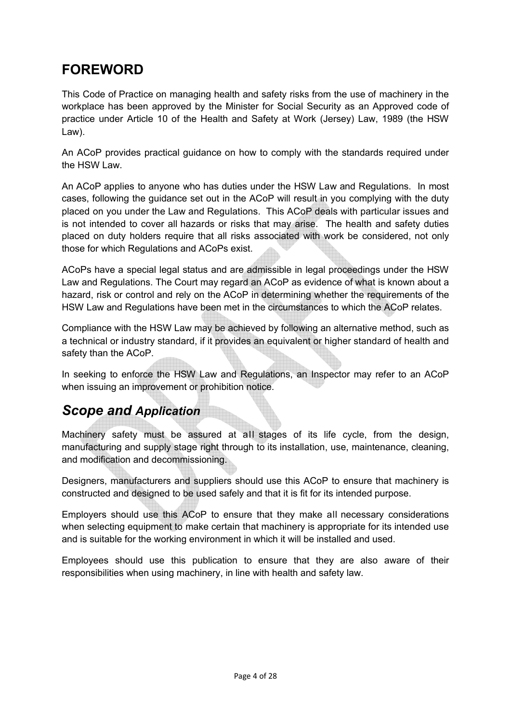# **FOREWORD**

This Code of Practice on managing health and safety risks from the use of machinery in the workplace has been approved by the Minister for Social Security as an Approved code of practice under Article 10 of the Health and Safety at Work (Jersey) Law, 1989 (the HSW Law).

An ACoP provides practical guidance on how to comply with the standards required under the HSW Law.

An ACoP applies to anyone who has duties under the HSW Law and Regulations. In most cases, following the guidance set out in the ACoP will result in you complying with the duty placed on you under the Law and Regulations. This ACoP deals with particular issues and is not intended to cover all hazards or risks that may arise. The health and safety duties placed on duty holders require that all risks associated with work be considered, not only those for which Regulations and ACoPs exist.

ACoPs have a special legal status and are admissible in legal proceedings under the HSW Law and Regulations. The Court may regard an ACoP as evidence of what is known about a hazard, risk or control and rely on the ACoP in determining whether the requirements of the HSW Law and Regulations have been met in the circumstances to which the ACoP relates.

Compliance with the HSW Law may be achieved by following an alternative method, such as a technical or industry standard, if it provides an equivalent or higher standard of health and safety than the ACoP.

In seeking to enforce the HSW Law and Regulations, an Inspector may refer to an ACoP when issuing an improvement or prohibition notice.

## *Scope and Application*

Machinery safety must be assured at all stages of its life cycle, from the design, manufacturing and supply stage right through to its installation, use, maintenance, cleaning, and modification and decommissioning.

Designers, manufacturers and suppliers should use this ACoP to ensure that machinery is constructed and designed to be used safely and that it is fit for its intended purpose.

Employers should use this ACoP to ensure that they make all necessary considerations when selecting equipment to make certain that machinery is appropriate for its intended use and is suitable for the working environment in which it will be installed and used.

Employees should use this publication to ensure that they are also aware of their responsibilities when using machinery, in line with health and safety law.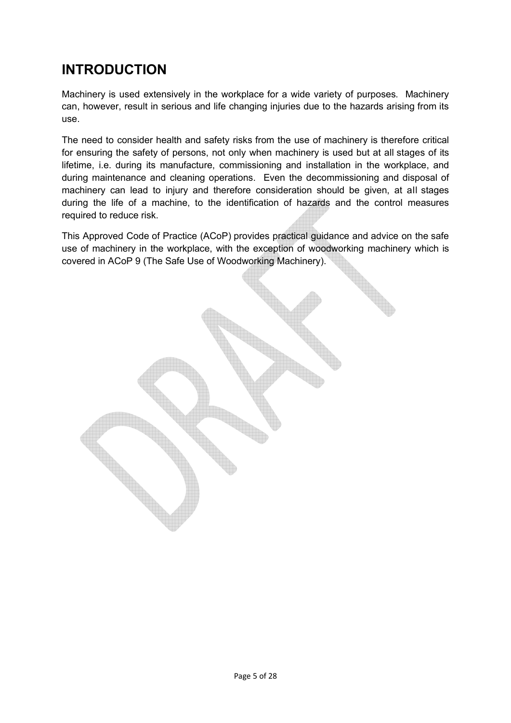# **INTRODUCTION**

Machinery is used extensively in the workplace for a wide variety of purposes. Machinery can, however, result in serious and life changing injuries due to the hazards arising from its use.

The need to consider health and safety risks from the use of machinery is therefore critical for ensuring the safety of persons, not only when machinery is used but at all stages of its lifetime, i.e. during its manufacture, commissioning and installation in the workplace, and during maintenance and cleaning operations. Even the decommissioning and disposal of machinery can lead to injury and therefore consideration should be given, at all stages during the life of a machine, to the identification of hazards and the control measures required to reduce risk.

This Approved Code of Practice (ACoP) provides practical guidance and advice on the safe use of machinery in the workplace, with the exception of woodworking machinery which is covered in ACoP 9 (The Safe Use of Woodworking Machinery).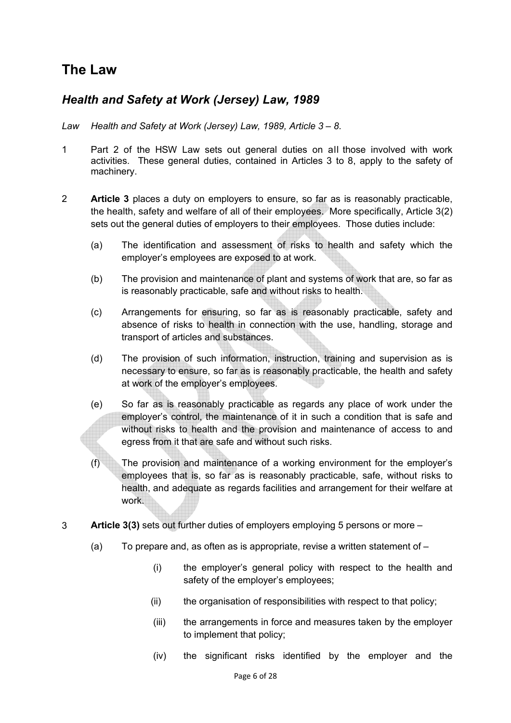## **The Law**

### *Health and Safety at Work (Jersey) Law, 1989*

- *Law Health and Safety at Work (Jersey) Law, 1989, Article 3 – 8.*
- 1 Part 2 of the HSW Law sets out general duties on all those involved with work activities. These general duties, contained in Articles 3 to 8, apply to the safety of machinery.
- 2 **Article 3** places a duty on employers to ensure, so far as is reasonably practicable, the health, safety and welfare of all of their employees. More specifically, Article 3(2) sets out the general duties of employers to their employees. Those duties include:
	- (a) The identification and assessment of risks to health and safety which the employer's employees are exposed to at work.
	- (b) The provision and maintenance of plant and systems of work that are, so far as is reasonably practicable, safe and without risks to health.
	- (c) Arrangements for ensuring, so far as is reasonably practicable, safety and absence of risks to health in connection with the use, handling, storage and transport of articles and substances.
	- (d) The provision of such information, instruction, training and supervision as is necessary to ensure, so far as is reasonably practicable, the health and safety at work of the employer's employees.
	- (e) So far as is reasonably practicable as regards any place of work under the employer's control, the maintenance of it in such a condition that is safe and without risks to health and the provision and maintenance of access to and egress from it that are safe and without such risks.
	- (f) The provision and maintenance of a working environment for the employer's employees that is, so far as is reasonably practicable, safe, without risks to health, and adequate as regards facilities and arrangement for their welfare at work.
- 3 **Article 3(3)** sets out further duties of employers employing 5 persons or more
	- (a) To prepare and, as often as is appropriate, revise a written statement of  $-$ 
		- (i) the employer's general policy with respect to the health and safety of the employer's employees;
		- (ii) the organisation of responsibilities with respect to that policy;
		- (iii) the arrangements in force and measures taken by the employer to implement that policy;
		- (iv) the significant risks identified by the employer and the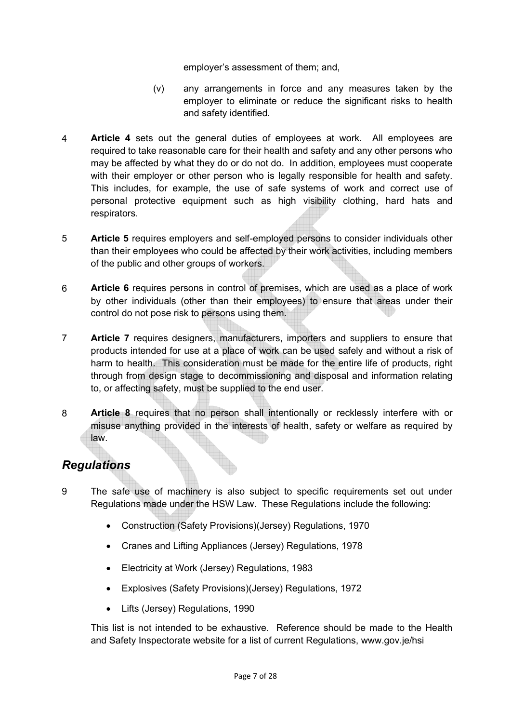employer's assessment of them; and,

- (v) any arrangements in force and any measures taken by the employer to eliminate or reduce the significant risks to health and safety identified.
- 4 **Article 4** sets out the general duties of employees at work. All employees are required to take reasonable care for their health and safety and any other persons who may be affected by what they do or do not do. In addition, employees must cooperate with their employer or other person who is legally responsible for health and safety. This includes, for example, the use of safe systems of work and correct use of personal protective equipment such as high visibility clothing, hard hats and respirators.
- 5 **Article 5** requires employers and self-employed persons to consider individuals other than their employees who could be affected by their work activities, including members of the public and other groups of workers.
- 6 **Article 6** requires persons in control of premises, which are used as a place of work by other individuals (other than their employees) to ensure that areas under their control do not pose risk to persons using them.
- 7 **Article 7** requires designers, manufacturers, importers and suppliers to ensure that products intended for use at a place of work can be used safely and without a risk of harm to health. This consideration must be made for the entire life of products, right through from design stage to decommissioning and disposal and information relating to, or affecting safety, must be supplied to the end user.
- 8 **Article 8** requires that no person shall intentionally or recklessly interfere with or misuse anything provided in the interests of health, safety or welfare as required by law.

### *Regulations*

- 9 The safe use of machinery is also subject to specific requirements set out under Regulations made under the HSW Law. These Regulations include the following:
	- Construction (Safety Provisions)(Jersey) Regulations, 1970
	- Cranes and Lifting Appliances (Jersey) Regulations, 1978
	- Electricity at Work (Jersey) Regulations, 1983
	- Explosives (Safety Provisions)(Jersey) Regulations, 1972
	- Lifts (Jersey) Regulations, 1990

This list is not intended to be exhaustive. Reference should be made to the Health and Safety Inspectorate website for a list of current Regulations, www.gov.je/hsi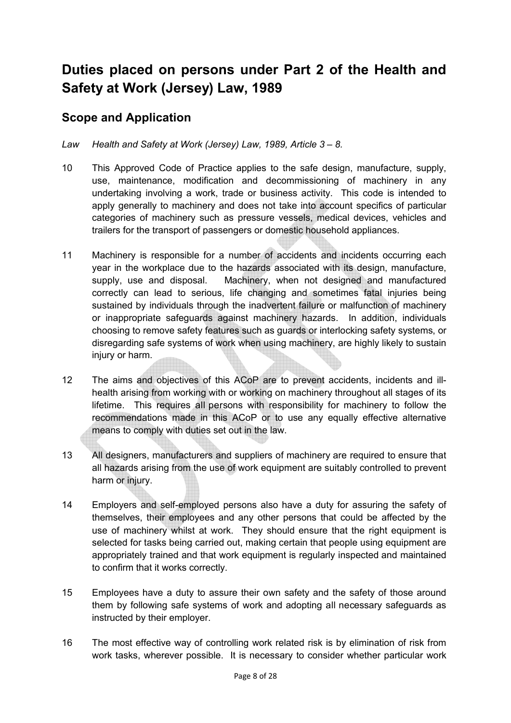# **Duties placed on persons under Part 2 of the Health and Safety at Work (Jersey) Law, 1989**

### **Scope and Application**

### *Law Health and Safety at Work (Jersey) Law, 1989, Article 3 – 8.*

- 10 This Approved Code of Practice applies to the safe design, manufacture, supply, use, maintenance, modification and decommissioning of machinery in any undertaking involving a work, trade or business activity. This code is intended to apply generally to machinery and does not take into account specifics of particular categories of machinery such as pressure vessels, medical devices, vehicles and trailers for the transport of passengers or domestic household appliances.
- 11 Machinery is responsible for a number of accidents and incidents occurring each year in the workplace due to the hazards associated with its design, manufacture, supply, use and disposal. Machinery, when not designed and manufactured correctly can lead to serious, life changing and sometimes fatal injuries being sustained by individuals through the inadvertent failure or malfunction of machinery or inappropriate safeguards against machinery hazards. In addition, individuals choosing to remove safety features such as guards or interlocking safety systems, or disregarding safe systems of work when using machinery, are highly likely to sustain injury or harm.
- 12 The aims and objectives of this ACoP are to prevent accidents, incidents and illhealth arising from working with or working on machinery throughout all stages of its lifetime. This requires all persons with responsibility for machinery to follow the recommendations made in this ACoP or to use any equally effective alternative means to comply with duties set out in the law.
- 13 All designers, manufacturers and suppliers of machinery are required to ensure that all hazards arising from the use of work equipment are suitably controlled to prevent harm or injury.
- 14 Employers and self-employed persons also have a duty for assuring the safety of themselves, their employees and any other persons that could be affected by the use of machinery whilst at work. They should ensure that the right equipment is selected for tasks being carried out, making certain that people using equipment are appropriately trained and that work equipment is regularly inspected and maintained to confirm that it works correctly.
- 15 Employees have a duty to assure their own safety and the safety of those around them by following safe systems of work and adopting all necessary safeguards as instructed by their employer.
- 16 The most effective way of controlling work related risk is by elimination of risk from work tasks, wherever possible. It is necessary to consider whether particular work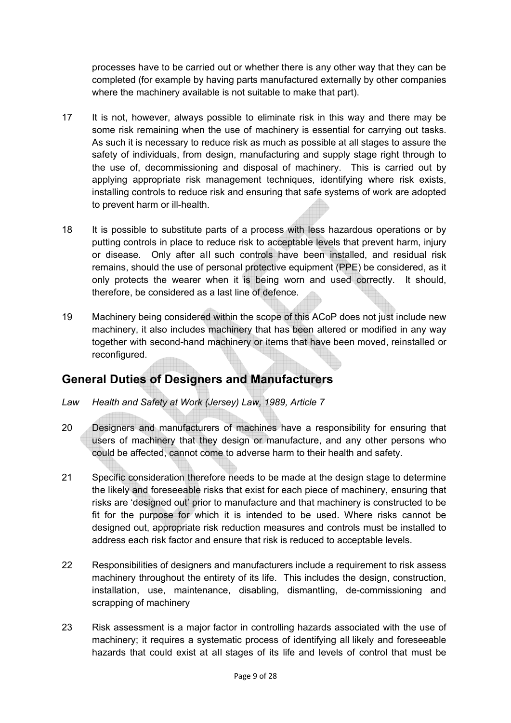processes have to be carried out or whether there is any other way that they can be completed (for example by having parts manufactured externally by other companies where the machinery available is not suitable to make that part).

- 17 It is not, however, always possible to eliminate risk in this way and there may be some risk remaining when the use of machinery is essential for carrying out tasks. As such it is necessary to reduce risk as much as possible at all stages to assure the safety of individuals, from design, manufacturing and supply stage right through to the use of, decommissioning and disposal of machinery. This is carried out by applying appropriate risk management techniques, identifying where risk exists, installing controls to reduce risk and ensuring that safe systems of work are adopted to prevent harm or ill-health.
- 18 It is possible to substitute parts of a process with less hazardous operations or by putting controls in place to reduce risk to acceptable levels that prevent harm, injury or disease. Only after all such controls have been installed, and residual risk remains, should the use of personal protective equipment (PPE) be considered, as it only protects the wearer when it is being worn and used correctly. It should, therefore, be considered as a last line of defence.
- 19 Machinery being considered within the scope of this ACoP does not just include new machinery, it also includes machinery that has been altered or modified in any way together with second-hand machinery or items that have been moved, reinstalled or reconfigured.

### **General Duties of Designers and Manufacturers**

- *Law Health and Safety at Work (Jersey) Law, 1989, Article 7*
- 20 Designers and manufacturers of machines have a responsibility for ensuring that users of machinery that they design or manufacture, and any other persons who could be affected, cannot come to adverse harm to their health and safety.
- 21 Specific consideration therefore needs to be made at the design stage to determine the likely and foreseeable risks that exist for each piece of machinery, ensuring that risks are 'designed out' prior to manufacture and that machinery is constructed to be fit for the purpose for which it is intended to be used. Where risks cannot be designed out, appropriate risk reduction measures and controls must be installed to address each risk factor and ensure that risk is reduced to acceptable levels.
- 22 Responsibilities of designers and manufacturers include a requirement to risk assess machinery throughout the entirety of its life. This includes the design, construction, installation, use, maintenance, disabling, dismantling, de-commissioning and scrapping of machinery
- 23 Risk assessment is a major factor in controlling hazards associated with the use of machinery; it requires a systematic process of identifying all likely and foreseeable hazards that could exist at all stages of its life and levels of control that must be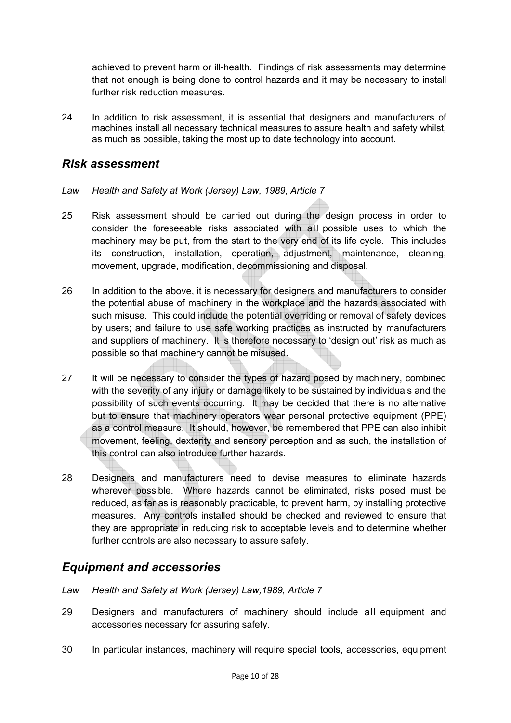achieved to prevent harm or ill-health. Findings of risk assessments may determine that not enough is being done to control hazards and it may be necessary to install further risk reduction measures.

24 In addition to risk assessment, it is essential that designers and manufacturers of machines install all necessary technical measures to assure health and safety whilst, as much as possible, taking the most up to date technology into account.

### *Risk assessment*

- *Law Health and Safety at Work (Jersey) Law, 1989, Article 7*
- 25 Risk assessment should be carried out during the design process in order to consider the foreseeable risks associated with all possible uses to which the machinery may be put, from the start to the very end of its life cycle. This includes its construction, installation, operation, adjustment, maintenance, cleaning, movement, upgrade, modification, decommissioning and disposal.
- 26 In addition to the above, it is necessary for designers and manufacturers to consider the potential abuse of machinery in the workplace and the hazards associated with such misuse. This could include the potential overriding or removal of safety devices by users; and failure to use safe working practices as instructed by manufacturers and suppliers of machinery. It is therefore necessary to 'design out' risk as much as possible so that machinery cannot be misused.
- 27 It will be necessary to consider the types of hazard posed by machinery, combined with the severity of any injury or damage likely to be sustained by individuals and the possibility of such events occurring. It may be decided that there is no alternative but to ensure that machinery operators wear personal protective equipment (PPE) as a control measure. It should, however, be remembered that PPE can also inhibit movement, feeling, dexterity and sensory perception and as such, the installation of this control can also introduce further hazards.
- 28 Designers and manufacturers need to devise measures to eliminate hazards wherever possible. Where hazards cannot be eliminated, risks posed must be reduced, as far as is reasonably practicable, to prevent harm, by installing protective measures. Any controls installed should be checked and reviewed to ensure that they are appropriate in reducing risk to acceptable levels and to determine whether further controls are also necessary to assure safety.

### *Equipment and accessories*

- *Law Health and Safety at Work (Jersey) Law,1989, Article 7*
- 29 Designers and manufacturers of machinery should include all equipment and accessories necessary for assuring safety.
- 30 In particular instances, machinery will require special tools, accessories, equipment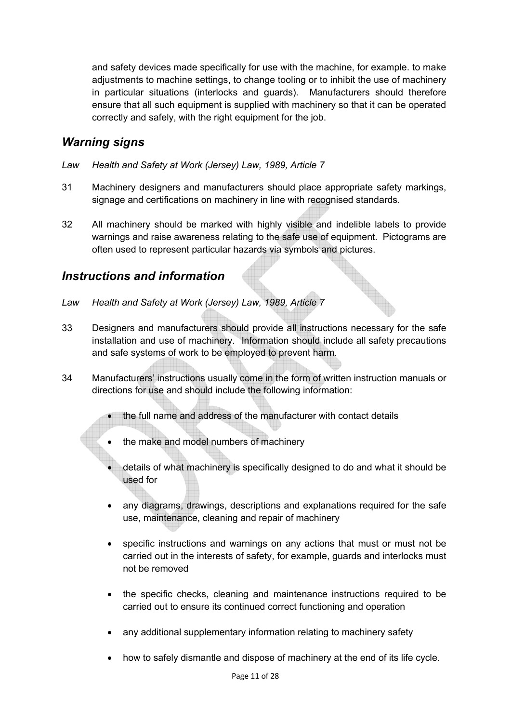and safety devices made specifically for use with the machine, for example. to make adjustments to machine settings, to change tooling or to inhibit the use of machinery in particular situations (interlocks and guards). Manufacturers should therefore ensure that all such equipment is supplied with machinery so that it can be operated correctly and safely, with the right equipment for the job.

### *Warning signs*

- *Law Health and Safety at Work (Jersey) Law, 1989, Article 7*
- 31 Machinery designers and manufacturers should place appropriate safety markings, signage and certifications on machinery in line with recognised standards.
- 32 All machinery should be marked with highly visible and indelible labels to provide warnings and raise awareness relating to the safe use of equipment. Pictograms are often used to represent particular hazards via symbols and pictures.

### *Instructions and information*

- *Law Health and Safety at Work (Jersey) Law, 1989, Article 7*
- 33 Designers and manufacturers should provide all instructions necessary for the safe installation and use of machinery. Information should include all safety precautions and safe systems of work to be employed to prevent harm.
- 34 Manufacturers' instructions usually come in the form of written instruction manuals or directions for use and should include the following information:
	- the full name and address of the manufacturer with contact details
	- the make and model numbers of machinery
	- details of what machinery is specifically designed to do and what it should be used for
	- any diagrams, drawings, descriptions and explanations required for the safe use, maintenance, cleaning and repair of machinery
	- specific instructions and warnings on any actions that must or must not be carried out in the interests of safety, for example, guards and interlocks must not be removed
	- the specific checks, cleaning and maintenance instructions required to be carried out to ensure its continued correct functioning and operation
	- any additional supplementary information relating to machinery safety
	- how to safely dismantle and dispose of machinery at the end of its life cycle.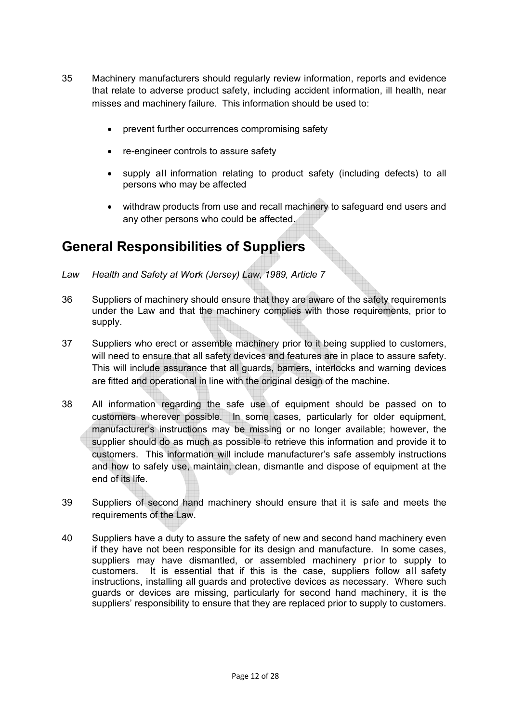- 35 Machinery manufacturers should regularly review information, reports and evidence that relate to adverse product safety, including accident information, ill health, near misses and machinery failure. This information should be used to:
	- prevent further occurrences compromising safety
	- re-engineer controls to assure safety
	- supply all information relating to product safety (including defects) to all persons who may be affected
	- withdraw products from use and recall machinery to safeguard end users and any other persons who could be affected.

# **General Responsibilities of Suppliers**

- *Law Health and Safety at Work (Jersey) Law, 1989, Article 7*
- 36 Suppliers of machinery should ensure that they are aware of the safety requirements under the Law and that the machinery complies with those requirements, prior to supply.
- 37 Suppliers who erect or assemble machinery prior to it being supplied to customers, will need to ensure that all safety devices and features are in place to assure safety. This will include assurance that all guards, barriers, interlocks and warning devices are fitted and operational in line with the original design of the machine.
- 38 All information regarding the safe use of equipment should be passed on to customers wherever possible. In some cases, particularly for older equipment, manufacturer's instructions may be missing or no longer available; however, the supplier should do as much as possible to retrieve this information and provide it to customers. This information will include manufacturer's safe assembly instructions and how to safely use, maintain, clean, dismantle and dispose of equipment at the end of its life.
- 39 Suppliers of second hand machinery should ensure that it is safe and meets the requirements of the Law.
- 40 Suppliers have a duty to assure the safety of new and second hand machinery even if they have not been responsible for its design and manufacture. In some cases, suppliers may have dismantled, or assembled machinery prior to supply to customers. It is essential that if this is the case, suppliers follow all safety instructions, installing all guards and protective devices as necessary. Where such guards or devices are missing, particularly for second hand machinery, it is the suppliers' responsibility to ensure that they are replaced prior to supply to customers.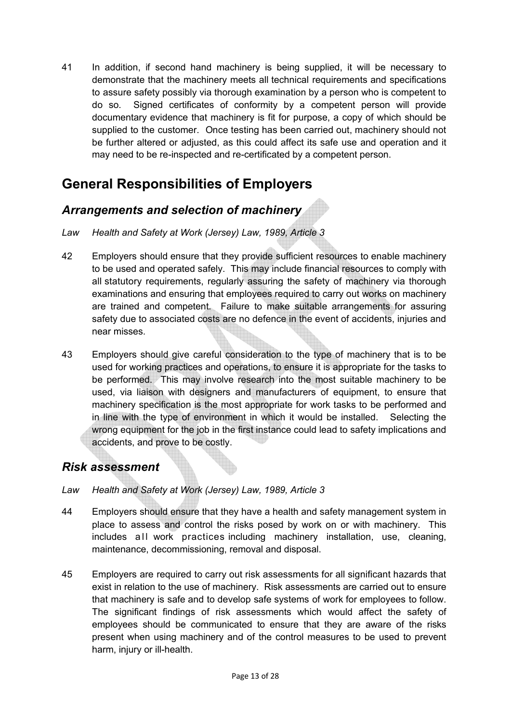41 In addition, if second hand machinery is being supplied, it will be necessary to demonstrate that the machinery meets all technical requirements and specifications to assure safety possibly via thorough examination by a person who is competent to do so. Signed certificates of conformity by a competent person will provide documentary evidence that machinery is fit for purpose, a copy of which should be supplied to the customer. Once testing has been carried out, machinery should not be further altered or adjusted, as this could affect its safe use and operation and it may need to be re-inspected and re-certificated by a competent person.

# **General Responsibilities of Employers**

### *Arrangements and selection of machinery*

- *Law Health and Safety at Work (Jersey) Law, 1989, Article 3*
- 42 Employers should ensure that they provide sufficient resources to enable machinery to be used and operated safely. This may include financial resources to comply with all statutory requirements, regularly assuring the safety of machinery via thorough examinations and ensuring that employees required to carry out works on machinery are trained and competent. Failure to make suitable arrangements for assuring safety due to associated costs are no defence in the event of accidents, injuries and near misses.
- 43 Employers should give careful consideration to the type of machinery that is to be used for working practices and operations, to ensure it is appropriate for the tasks to be performed. This may involve research into the most suitable machinery to be used, via liaison with designers and manufacturers of equipment, to ensure that machinery specification is the most appropriate for work tasks to be performed and in line with the type of environment in which it would be installed. Selecting the wrong equipment for the job in the first instance could lead to safety implications and accidents, and prove to be costly.

### *Risk assessment*

- *Law Health and Safety at Work (Jersey) Law, 1989, Article 3*
- 44 Employers should ensure that they have a health and safety management system in place to assess and control the risks posed by work on or with machinery. This includes all work practices including machinery installation, use, cleaning, maintenance, decommissioning, removal and disposal.
- 45 Employers are required to carry out risk assessments for all significant hazards that exist in relation to the use of machinery. Risk assessments are carried out to ensure that machinery is safe and to develop safe systems of work for employees to follow. The significant findings of risk assessments which would affect the safety of employees should be communicated to ensure that they are aware of the risks present when using machinery and of the control measures to be used to prevent harm, injury or ill-health.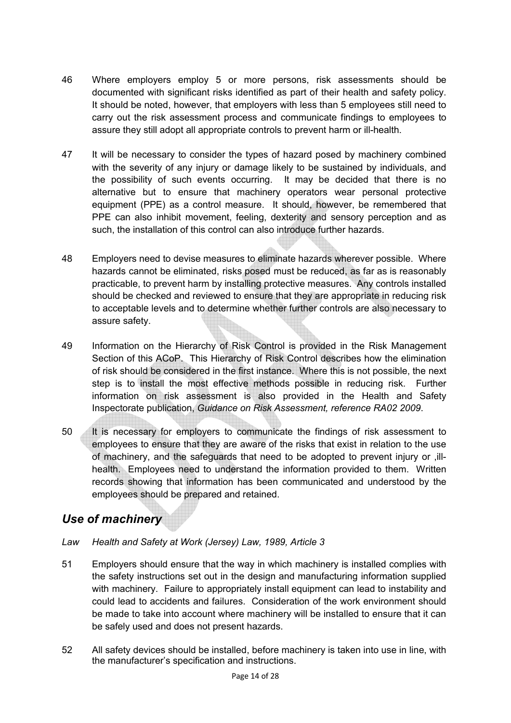- 46 Where employers employ 5 or more persons, risk assessments should be documented with significant risks identified as part of their health and safety policy. It should be noted, however, that employers with less than 5 employees still need to carry out the risk assessment process and communicate findings to employees to assure they still adopt all appropriate controls to prevent harm or ill-health.
- 47 It will be necessary to consider the types of hazard posed by machinery combined with the severity of any injury or damage likely to be sustained by individuals, and the possibility of such events occurring. It may be decided that there is no alternative but to ensure that machinery operators wear personal protective equipment (PPE) as a control measure. It should, however, be remembered that PPE can also inhibit movement, feeling, dexterity and sensory perception and as such, the installation of this control can also introduce further hazards.
- 48 Employers need to devise measures to eliminate hazards wherever possible. Where hazards cannot be eliminated, risks posed must be reduced, as far as is reasonably practicable, to prevent harm by installing protective measures. Any controls installed should be checked and reviewed to ensure that they are appropriate in reducing risk to acceptable levels and to determine whether further controls are also necessary to assure safety.
- 49 Information on the Hierarchy of Risk Control is provided in the Risk Management Section of this ACoP. This Hierarchy of Risk Control describes how the elimination of risk should be considered in the first instance. Where this is not possible, the next step is to install the most effective methods possible in reducing risk. Further information on risk assessment is also provided in the Health and Safety Inspectorate publication, *Guidance on Risk Assessment, reference RA02 2009*.
- 50 It is necessary for employers to communicate the findings of risk assessment to employees to ensure that they are aware of the risks that exist in relation to the use of machinery, and the safeguards that need to be adopted to prevent injury or ,illhealth. Employees need to understand the information provided to them. Written records showing that information has been communicated and understood by the employees should be prepared and retained.

### *Use of machinery*

- *Law Health and Safety at Work (Jersey) Law, 1989, Article 3*
- 51 Employers should ensure that the way in which machinery is installed complies with the safety instructions set out in the design and manufacturing information supplied with machinery. Failure to appropriately install equipment can lead to instability and could lead to accidents and failures. Consideration of the work environment should be made to take into account where machinery will be installed to ensure that it can be safely used and does not present hazards.
- 52 All safety devices should be installed, before machinery is taken into use in line, with the manufacturer's specification and instructions.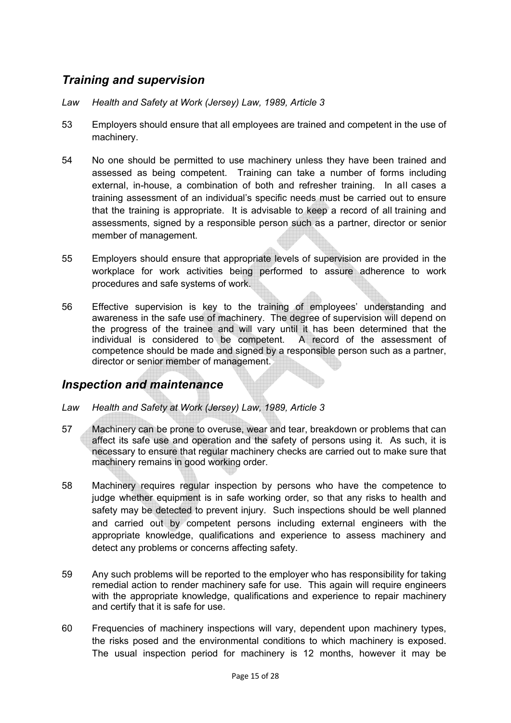### *Training and supervision*

- *Law Health and Safety at Work (Jersey) Law, 1989, Article 3*
- 53 Employers should ensure that all employees are trained and competent in the use of machinery.
- 54 No one should be permitted to use machinery unless they have been trained and assessed as being competent. Training can take a number of forms including external, in-house, a combination of both and refresher training. In all cases a training assessment of an individual's specific needs must be carried out to ensure that the training is appropriate. It is advisable to keep a record of all training and assessments, signed by a responsible person such as a partner, director or senior member of management.
- 55 Employers should ensure that appropriate levels of supervision are provided in the workplace for work activities being performed to assure adherence to work procedures and safe systems of work.
- 56 Effective supervision is key to the training of employees' understanding and awareness in the safe use of machinery. The degree of supervision will depend on the progress of the trainee and will vary until it has been determined that the individual is considered to be competent. A record of the assessment of competence should be made and signed by a responsible person such as a partner, director or senior member of management.

### *Inspection and maintenance*

- *Law Health and Safety at Work (Jersey) Law, 1989, Article 3*
- 57 Machinery can be prone to overuse, wear and tear, breakdown or problems that can affect its safe use and operation and the safety of persons using it. As such, it is necessary to ensure that regular machinery checks are carried out to make sure that machinery remains in good working order.
- 58 Machinery requires regular inspection by persons who have the competence to judge whether equipment is in safe working order, so that any risks to health and safety may be detected to prevent injury. Such inspections should be well planned and carried out by competent persons including external engineers with the appropriate knowledge, qualifications and experience to assess machinery and detect any problems or concerns affecting safety.
- 59 Any such problems will be reported to the employer who has responsibility for taking remedial action to render machinery safe for use. This again will require engineers with the appropriate knowledge, qualifications and experience to repair machinery and certify that it is safe for use.
- 60 Frequencies of machinery inspections will vary, dependent upon machinery types, the risks posed and the environmental conditions to which machinery is exposed. The usual inspection period for machinery is 12 months, however it may be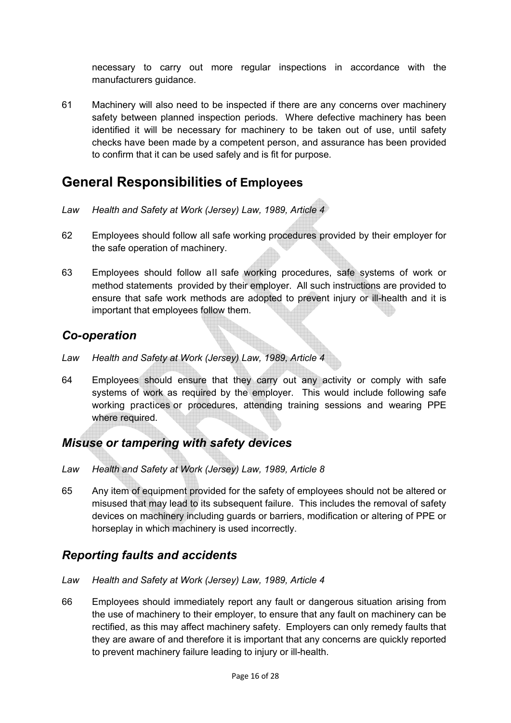necessary to carry out more regular inspections in accordance with the manufacturers guidance.

61 Machinery will also need to be inspected if there are any concerns over machinery safety between planned inspection periods. Where defective machinery has been identified it will be necessary for machinery to be taken out of use, until safety checks have been made by a competent person, and assurance has been provided to confirm that it can be used safely and is fit for purpose.

### **General Responsibilities of Employees**

- *Law Health and Safety at Work (Jersey) Law, 1989, Article 4*
- 62 Employees should follow all safe working procedures provided by their employer for the safe operation of machinery.
- 63 Employees should follow all safe working procedures, safe systems of work or method statements provided by their employer. All such instructions are provided to ensure that safe work methods are adopted to prevent injury or ill-health and it is important that employees follow them.

### *Co-operation*

- *Law Health and Safety at Work (Jersey) Law, 1989, Article 4*
- 64 Employees should ensure that they carry out any activity or comply with safe systems of work as required by the employer. This would include following safe working practices or procedures, attending training sessions and wearing PPE where required.

### *Misuse or tampering with safety devices*

- *Law Health and Safety at Work (Jersey) Law, 1989, Article 8*
- 65 Any item of equipment provided for the safety of employees should not be altered or misused that may lead to its subsequent failure. This includes the removal of safety devices on machinery including guards or barriers, modification or altering of PPE or horseplay in which machinery is used incorrectly.

### *Reporting faults and accidents*

- *Law Health and Safety at Work (Jersey) Law, 1989, Article 4*
- 66 Employees should immediately report any fault or dangerous situation arising from the use of machinery to their employer, to ensure that any fault on machinery can be rectified, as this may affect machinery safety. Employers can only remedy faults that they are aware of and therefore it is important that any concerns are quickly reported to prevent machinery failure leading to injury or ill-health.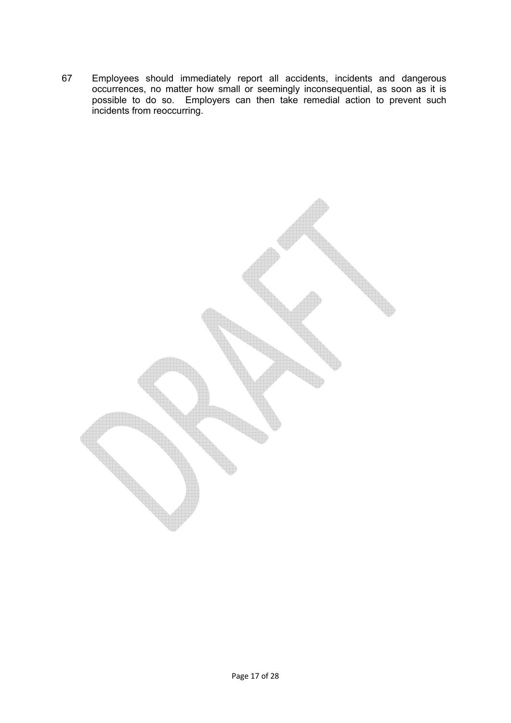67 Employees should immediately report all accidents, incidents and dangerous occurrences, no matter how small or seemingly inconsequential, as soon as it is possible to do so. Employers can then take remedial action to prevent such incidents from reoccurring.

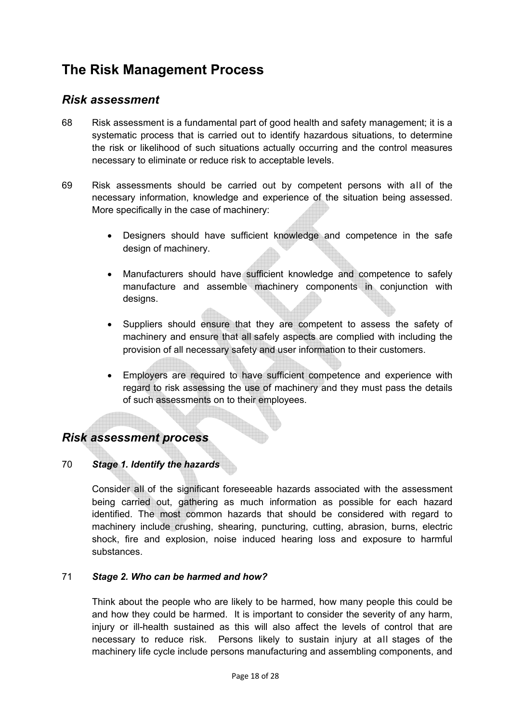# **The Risk Management Process**

### *Risk assessment*

- 68 Risk assessment is a fundamental part of good health and safety management; it is a systematic process that is carried out to identify hazardous situations, to determine the risk or likelihood of such situations actually occurring and the control measures necessary to eliminate or reduce risk to acceptable levels.
- 69 Risk assessments should be carried out by competent persons with all of the necessary information, knowledge and experience of the situation being assessed. More specifically in the case of machinery:
	- Designers should have sufficient knowledge and competence in the safe design of machinery.
	- Manufacturers should have sufficient knowledge and competence to safely manufacture and assemble machinery components in conjunction with designs.
	- Suppliers should ensure that they are competent to assess the safety of machinery and ensure that all safely aspects are complied with including the provision of all necessary safety and user information to their customers.
	- Employers are required to have sufficient competence and experience with regard to risk assessing the use of machinery and they must pass the details of such assessments on to their employees.

### *Risk assessment process*

### 70 *Stage 1. Identify the hazards*

Consider all of the significant foreseeable hazards associated with the assessment being carried out, gathering as much information as possible for each hazard identified. The most common hazards that should be considered with regard to machinery include crushing, shearing, puncturing, cutting, abrasion, burns, electric shock, fire and explosion, noise induced hearing loss and exposure to harmful substances.

#### 71 *Stage 2. Who can be harmed and how?*

Think about the people who are likely to be harmed, how many people this could be and how they could be harmed. It is important to consider the severity of any harm, injury or ill-health sustained as this will also affect the levels of control that are necessary to reduce risk. Persons likely to sustain injury at all stages of the machinery life cycle include persons manufacturing and assembling components, and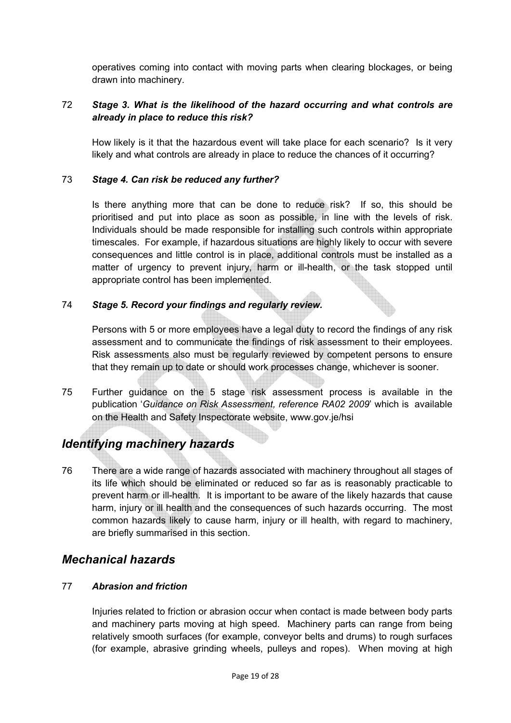operatives coming into contact with moving parts when clearing blockages, or being drawn into machinery.

#### 72 *Stage 3. What is the likelihood of the hazard occurring and what controls are already in place to reduce this risk?*

How likely is it that the hazardous event will take place for each scenario? Is it very likely and what controls are already in place to reduce the chances of it occurring?

#### 73 *Stage 4. Can risk be reduced any further?*

Is there anything more that can be done to reduce risk? If so, this should be prioritised and put into place as soon as possible, in line with the levels of risk. Individuals should be made responsible for installing such controls within appropriate timescales. For example, if hazardous situations are highly likely to occur with severe consequences and little control is in place, additional controls must be installed as a matter of urgency to prevent injury, harm or ill-health, or the task stopped until appropriate control has been implemented.

#### 74 *Stage 5. Record your findings and regularly review.*

Persons with 5 or more employees have a legal duty to record the findings of any risk assessment and to communicate the findings of risk assessment to their employees. Risk assessments also must be regularly reviewed by competent persons to ensure that they remain up to date or should work processes change, whichever is sooner.

75 Further guidance on the 5 stage risk assessment process is available in the publication '*Guidance on Risk Assessment, reference RA02 2009*' which is available on the Health and Safety Inspectorate website, www.gov.je/hsi

### *Identifying machinery hazards*

76 There are a wide range of hazards associated with machinery throughout all stages of its life which should be eliminated or reduced so far as is reasonably practicable to prevent harm or ill-health. It is important to be aware of the likely hazards that cause harm, injury or ill health and the consequences of such hazards occurring. The most common hazards likely to cause harm, injury or ill health, with regard to machinery, are briefly summarised in this section.

### *Mechanical hazards*

### 77 *Abrasion and friction*

Injuries related to friction or abrasion occur when contact is made between body parts and machinery parts moving at high speed. Machinery parts can range from being relatively smooth surfaces (for example, conveyor belts and drums) to rough surfaces (for example, abrasive grinding wheels, pulleys and ropes). When moving at high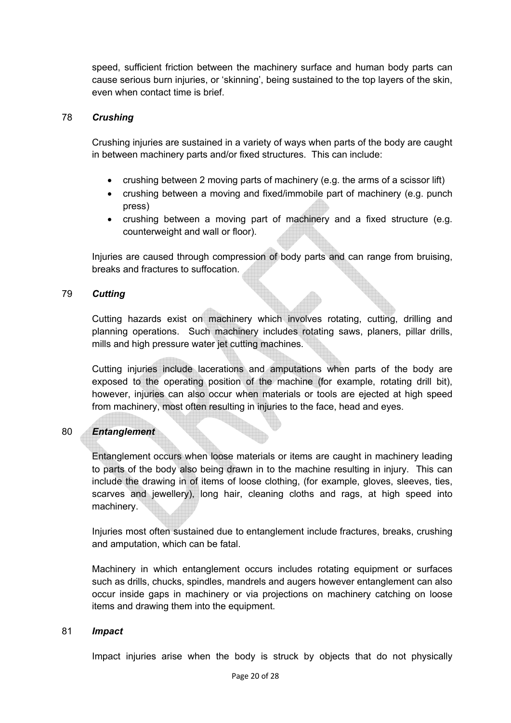speed, sufficient friction between the machinery surface and human body parts can cause serious burn injuries, or 'skinning', being sustained to the top layers of the skin, even when contact time is brief.

#### 78 *Crushing*

Crushing injuries are sustained in a variety of ways when parts of the body are caught in between machinery parts and/or fixed structures. This can include:

- crushing between 2 moving parts of machinery (e.g. the arms of a scissor lift)
- crushing between a moving and fixed/immobile part of machinery (e.g. punch press)
- crushing between a moving part of machinery and a fixed structure (e.g. counterweight and wall or floor).

Injuries are caused through compression of body parts and can range from bruising, breaks and fractures to suffocation.

#### 79 *Cutting*

Cutting hazards exist on machinery which involves rotating, cutting, drilling and planning operations. Such machinery includes rotating saws, planers, pillar drills, mills and high pressure water jet cutting machines.

Cutting injuries include lacerations and amputations when parts of the body are exposed to the operating position of the machine (for example, rotating drill bit), however, injuries can also occur when materials or tools are ejected at high speed from machinery, most often resulting in injuries to the face, head and eyes.

### 80 *Entanglement*

Entanglement occurs when loose materials or items are caught in machinery leading to parts of the body also being drawn in to the machine resulting in injury. This can include the drawing in of items of loose clothing, (for example, gloves, sleeves, ties, scarves and jewellery), long hair, cleaning cloths and rags, at high speed into machinery.

Injuries most often sustained due to entanglement include fractures, breaks, crushing and amputation, which can be fatal.

Machinery in which entanglement occurs includes rotating equipment or surfaces such as drills, chucks, spindles, mandrels and augers however entanglement can also occur inside gaps in machinery or via projections on machinery catching on loose items and drawing them into the equipment.

#### 81 *Impact*

Impact injuries arise when the body is struck by objects that do not physically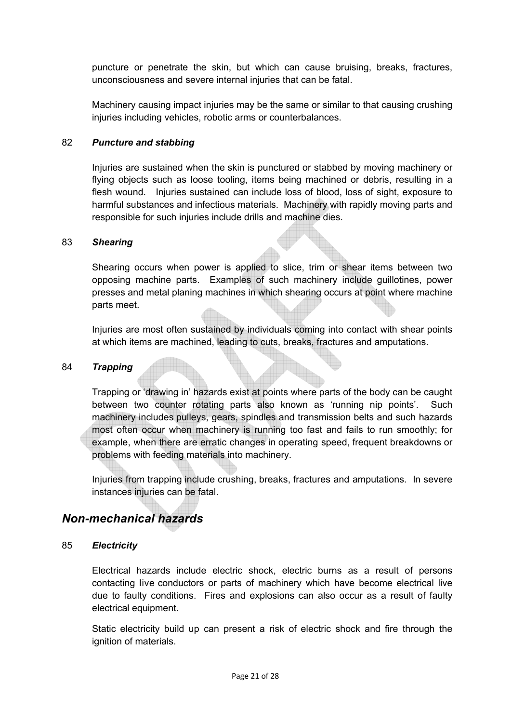puncture or penetrate the skin, but which can cause bruising, breaks, fractures, unconsciousness and severe internal injuries that can be fatal.

Machinery causing impact injuries may be the same or similar to that causing crushing injuries including vehicles, robotic arms or counterbalances.

#### 82 *Puncture and stabbing*

Injuries are sustained when the skin is punctured or stabbed by moving machinery or flying objects such as loose tooling, items being machined or debris, resulting in a flesh wound. Injuries sustained can include loss of blood, loss of sight, exposure to harmful substances and infectious materials. Machinery with rapidly moving parts and responsible for such injuries include drills and machine dies.

#### 83 *Shearing*

Shearing occurs when power is applied to slice, trim or shear items between two opposing machine parts. Examples of such machinery include guillotines, power presses and metal planing machines in which shearing occurs at point where machine parts meet.

Injuries are most often sustained by individuals coming into contact with shear points at which items are machined, leading to cuts, breaks, fractures and amputations.

#### 84 *Trapping*

Trapping or 'drawing in' hazards exist at points where parts of the body can be caught between two counter rotating parts also known as 'running nip points'. Such machinery includes pulleys, gears, spindles and transmission belts and such hazards most often occur when machinery is running too fast and fails to run smoothly; for example, when there are erratic changes in operating speed, frequent breakdowns or problems with feeding materials into machinery.

Injuries from trapping include crushing, breaks, fractures and amputations. In severe instances injuries can be fatal.

### *Non-mechanical hazards*

#### 85 *Electricity*

Electrical hazards include electric shock, electric burns as a result of persons contacting live conductors or parts of machinery which have become electrical live due to faulty conditions. Fires and explosions can also occur as a result of faulty electrical equipment.

Static electricity build up can present a risk of electric shock and fire through the ignition of materials.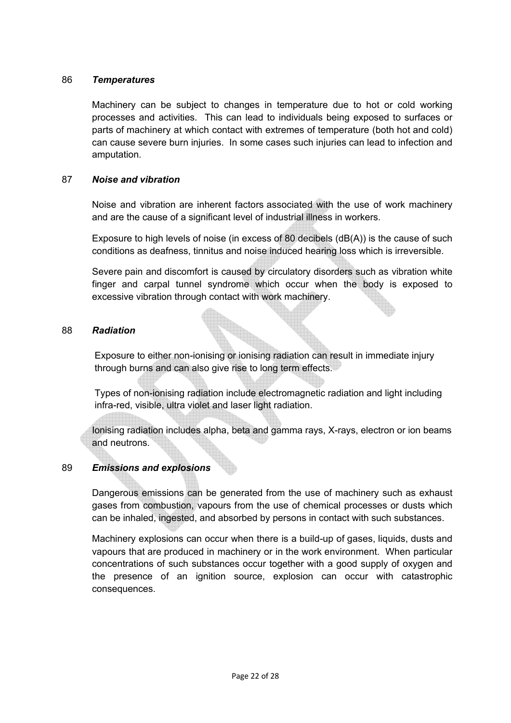#### 86 *Temperatures*

Machinery can be subject to changes in temperature due to hot or cold working processes and activities. This can lead to individuals being exposed to surfaces or parts of machinery at which contact with extremes of temperature (both hot and cold) can cause severe burn injuries. In some cases such injuries can lead to infection and amputation.

#### 87 *Noise and vibration*

Noise and vibration are inherent factors associated with the use of work machinery and are the cause of a significant level of industrial illness in workers.

Exposure to high levels of noise (in excess of 80 decibels (dB(A)) is the cause of such conditions as deafness, tinnitus and noise induced hearing loss which is irreversible.

Severe pain and discomfort is caused by circulatory disorders such as vibration white finger and carpal tunnel syndrome which occur when the body is exposed to excessive vibration through contact with work machinery.

#### 88 *Radiation*

Exposure to either non-ionising or ionising radiation can result in immediate injury through burns and can also give rise to long term effects.

Types of non-ionising radiation include electromagnetic radiation and light including infra-red, visible, ultra violet and laser light radiation.

Ionising radiation includes alpha, beta and gamma rays, X-rays, electron or ion beams and neutrons.

#### 89 *Emissions and explosions*

Dangerous emissions can be generated from the use of machinery such as exhaust gases from combustion, vapours from the use of chemical processes or dusts which can be inhaled, ingested, and absorbed by persons in contact with such substances.

Machinery explosions can occur when there is a build-up of gases, liquids, dusts and vapours that are produced in machinery or in the work environment. When particular concentrations of such substances occur together with a good supply of oxygen and the presence of an ignition source, explosion can occur with catastrophic consequences.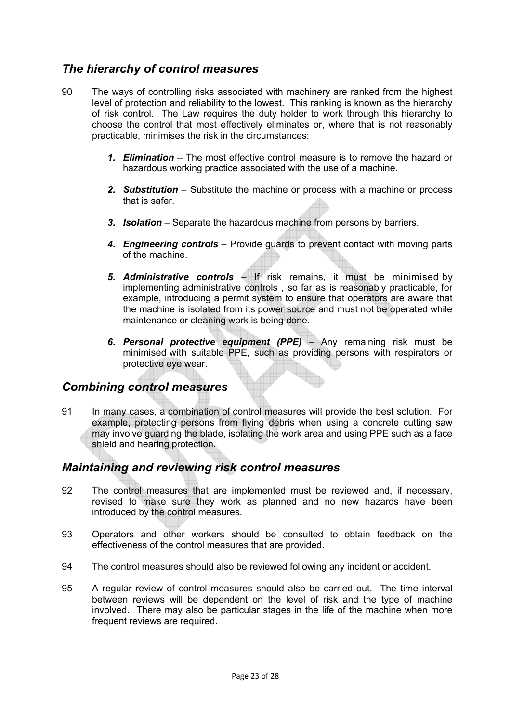### *The hierarchy of control measures*

- 90 The ways of controlling risks associated with machinery are ranked from the highest level of protection and reliability to the lowest. This ranking is known as the hierarchy of risk control. The Law requires the duty holder to work through this hierarchy to choose the control that most effectively eliminates or, where that is not reasonably practicable, minimises the risk in the circumstances:
	- *1. Elimination* The most effective control measure is to remove the hazard or hazardous working practice associated with the use of a machine.
	- *2. Substitution* Substitute the machine or process with a machine or process that is safer.
	- *3. Isolation* Separate the hazardous machine from persons by barriers.
	- *4. Engineering controls* Provide guards to prevent contact with moving parts of the machine.
	- *5. Administrative controls* If risk remains, it must be minimised by implementing administrative controls , so far as is reasonably practicable, for example, introducing a permit system to ensure that operators are aware that the machine is isolated from its power source and must not be operated while maintenance or cleaning work is being done.
	- *6. Personal protective equipment (PPE)* Any remaining risk must be minimised with suitable PPE, such as providing persons with respirators or protective eye wear.

### *Combining control measures*

91 In many cases, a combination of control measures will provide the best solution. For example, protecting persons from flying debris when using a concrete cutting saw may involve guarding the blade, isolating the work area and using PPE such as a face shield and hearing protection.

### *Maintaining and reviewing risk control measures*

- 92 The control measures that are implemented must be reviewed and, if necessary, revised to make sure they work as planned and no new hazards have been introduced by the control measures.
- 93 Operators and other workers should be consulted to obtain feedback on the effectiveness of the control measures that are provided.
- 94 The control measures should also be reviewed following any incident or accident.
- 95 A regular review of control measures should also be carried out. The time interval between reviews will be dependent on the level of risk and the type of machine involved. There may also be particular stages in the life of the machine when more frequent reviews are required.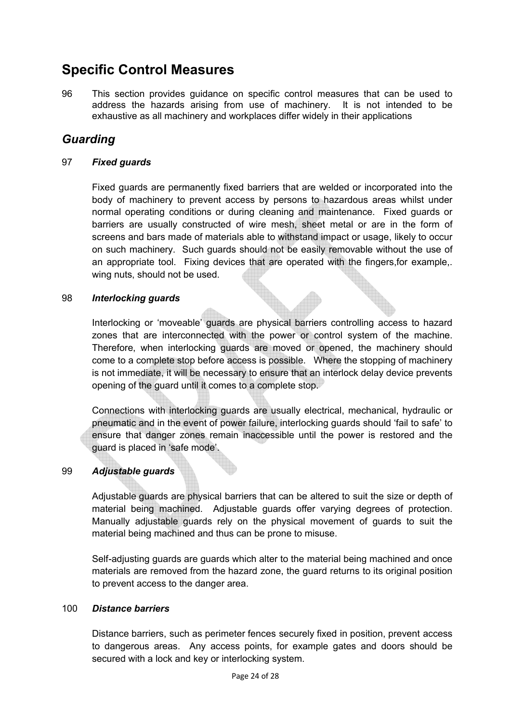# **Specific Control Measures**

96 This section provides guidance on specific control measures that can be used to address the hazards arising from use of machinery. It is not intended to be exhaustive as all machinery and workplaces differ widely in their applications

### *Guarding*

#### 97 *Fixed guards*

Fixed guards are permanently fixed barriers that are welded or incorporated into the body of machinery to prevent access by persons to hazardous areas whilst under normal operating conditions or during cleaning and maintenance. Fixed guards or barriers are usually constructed of wire mesh, sheet metal or are in the form of screens and bars made of materials able to withstand impact or usage, likely to occur on such machinery. Such guards should not be easily removable without the use of an appropriate tool. Fixing devices that are operated with the fingers,for example,. wing nuts, should not be used.

#### 98 *Interlocking guards*

Interlocking or 'moveable' guards are physical barriers controlling access to hazard zones that are interconnected with the power or control system of the machine. Therefore, when interlocking guards are moved or opened, the machinery should come to a complete stop before access is possible. Where the stopping of machinery is not immediate, it will be necessary to ensure that an interlock delay device prevents opening of the guard until it comes to a complete stop.

Connections with interlocking guards are usually electrical, mechanical, hydraulic or pneumatic and in the event of power failure, interlocking guards should 'fail to safe' to ensure that danger zones remain inaccessible until the power is restored and the guard is placed in 'safe mode'.

#### 99 *Adjustable guards*

Adjustable guards are physical barriers that can be altered to suit the size or depth of material being machined. Adjustable guards offer varying degrees of protection. Manually adjustable guards rely on the physical movement of guards to suit the material being machined and thus can be prone to misuse.

Self-adjusting guards are guards which alter to the material being machined and once materials are removed from the hazard zone, the guard returns to its original position to prevent access to the danger area.

#### 100 *Distance barriers*

Distance barriers, such as perimeter fences securely fixed in position, prevent access to dangerous areas. Any access points, for example gates and doors should be secured with a lock and key or interlocking system.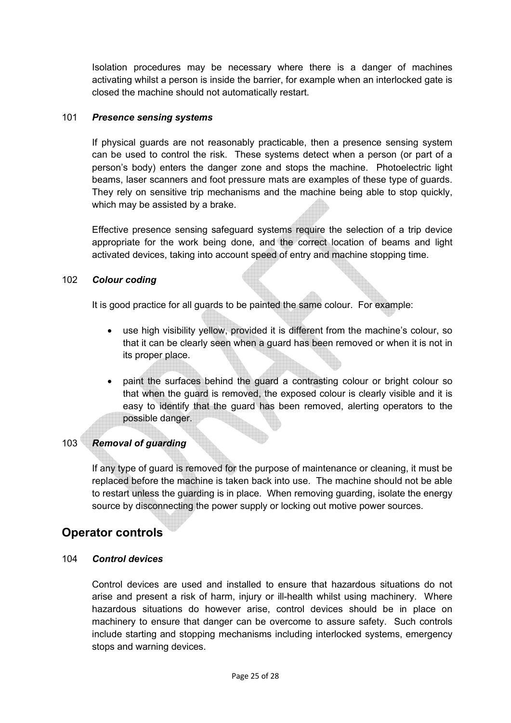Isolation procedures may be necessary where there is a danger of machines activating whilst a person is inside the barrier, for example when an interlocked gate is closed the machine should not automatically restart.

#### 101 *Presence sensing systems*

If physical guards are not reasonably practicable, then a presence sensing system can be used to control the risk. These systems detect when a person (or part of a person's body) enters the danger zone and stops the machine. Photoelectric light beams, laser scanners and foot pressure mats are examples of these type of guards. They rely on sensitive trip mechanisms and the machine being able to stop quickly, which may be assisted by a brake.

Effective presence sensing safeguard systems require the selection of a trip device appropriate for the work being done, and the correct location of beams and light activated devices, taking into account speed of entry and machine stopping time.

#### 102 *Colour coding*

It is good practice for all guards to be painted the same colour. For example:

- use high visibility yellow, provided it is different from the machine's colour, so that it can be clearly seen when a guard has been removed or when it is not in its proper place.
- paint the surfaces behind the guard a contrasting colour or bright colour so that when the guard is removed, the exposed colour is clearly visible and it is easy to identify that the guard has been removed, alerting operators to the possible danger.

### 103 *Removal of guarding*

If any type of guard is removed for the purpose of maintenance or cleaning, it must be replaced before the machine is taken back into use. The machine should not be able to restart unless the guarding is in place. When removing guarding, isolate the energy source by disconnecting the power supply or locking out motive power sources.

### **Operator controls**

#### 104 *Control devices*

Control devices are used and installed to ensure that hazardous situations do not arise and present a risk of harm, injury or ill-health whilst using machinery. Where hazardous situations do however arise, control devices should be in place on machinery to ensure that danger can be overcome to assure safety. Such controls include starting and stopping mechanisms including interlocked systems, emergency stops and warning devices.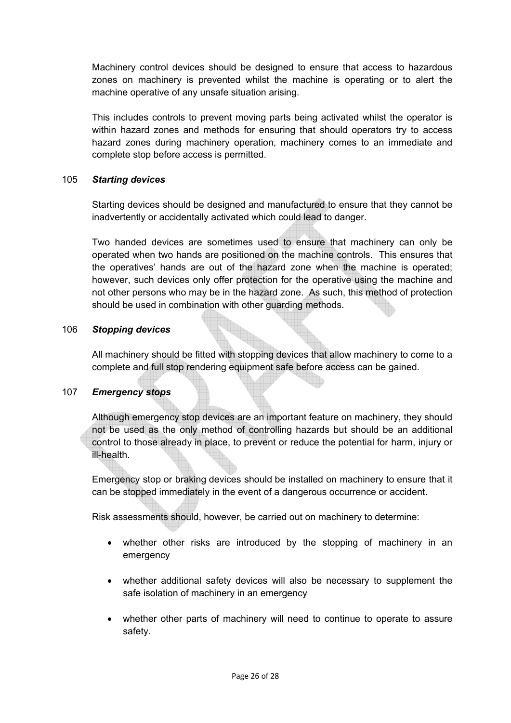Machinery control devices should be designed to ensure that access to hazardous zones on machinery is prevented whilst the machine is operating or to alert the machine operative of any unsafe situation arising.

This includes controls to prevent moving parts being activated whilst the operator is within hazard zones and methods for ensuring that should operators try to access hazard zones during machinery operation, machinery comes to an immediate and complete stop before access is permitted.

#### 105 *Starting devices*

Starting devices should be designed and manufactured to ensure that they cannot be inadvertently or accidentally activated which could lead to danger.

Two handed devices are sometimes used to ensure that machinery can only be operated when two hands are positioned on the machine controls. This ensures that the operatives' hands are out of the hazard zone when the machine is operated; however, such devices only offer protection for the operative using the machine and not other persons who may be in the hazard zone. As such, this method of protection should be used in combination with other guarding methods.

#### 106 *Stopping devices*

All machinery should be fitted with stopping devices that allow machinery to come to a complete and full stop rendering equipment safe before access can be gained.

### 107 *Emergency stops*

Although emergency stop devices are an important feature on machinery, they should not be used as the only method of controlling hazards but should be an additional control to those already in place, to prevent or reduce the potential for harm, injury or ill-health.

Emergency stop or braking devices should be installed on machinery to ensure that it can be stopped immediately in the event of a dangerous occurrence or accident.

Risk assessments should, however, be carried out on machinery to determine:

- whether other risks are introduced by the stopping of machinery in an emergency
- whether additional safety devices will also be necessary to supplement the safe isolation of machinery in an emergency
- whether other parts of machinery will need to continue to operate to assure safety.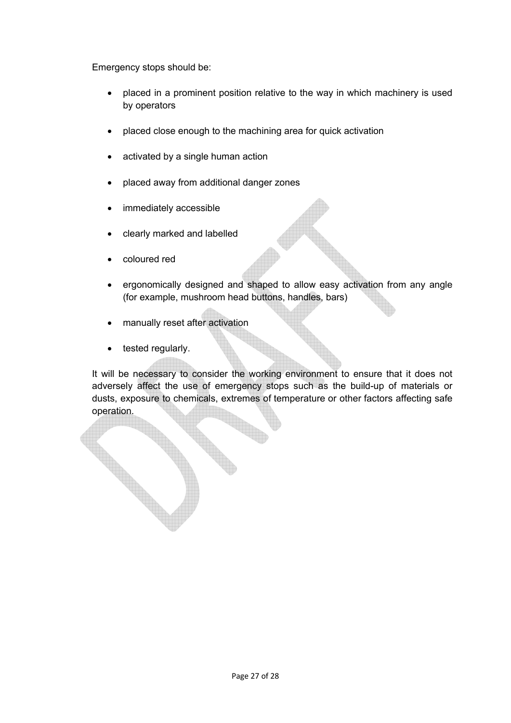Emergency stops should be:

- placed in a prominent position relative to the way in which machinery is used by operators
- placed close enough to the machining area for quick activation
- activated by a single human action
- placed away from additional danger zones
- immediately accessible
- clearly marked and labelled
- coloured red
- ergonomically designed and shaped to allow easy activation from any angle (for example, mushroom head buttons, handles, bars)
- manually reset after activation
- tested regularly.

It will be necessary to consider the working environment to ensure that it does not adversely affect the use of emergency stops such as the build-up of materials or dusts, exposure to chemicals, extremes of temperature or other factors affecting safe operation.